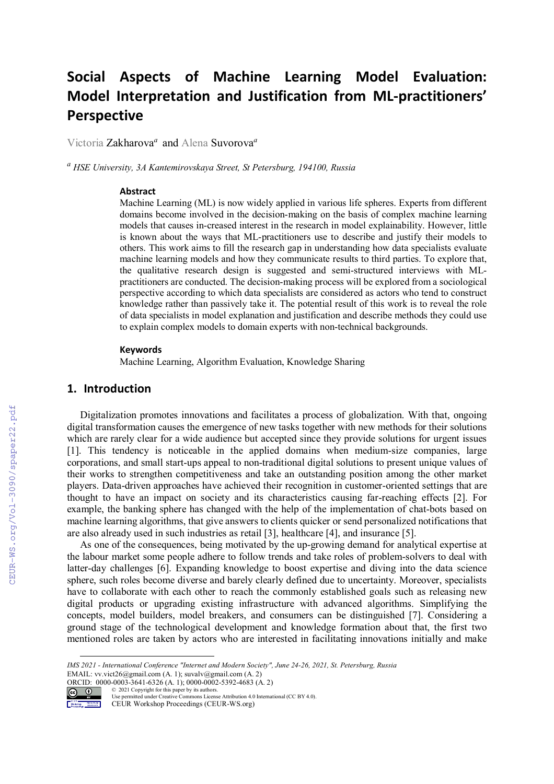# **Social Aspects of Machine Learning Model Evaluation: Model Interpretation and Justification from ML-practitioners' Perspective**

Victoria Zakharova*<sup>a</sup>* and Alena Suvorova*<sup>a</sup>*

*<sup>a</sup> HSE University, 3A Kantemirovskaya Street, St Petersburg, 194100, Russia* 

#### **Abstract**

Machine Learning (ML) is now widely applied in various life spheres. Experts from different domains become involved in the decision-making on the basis of complex machine learning models that causes in-creased interest in the research in model explainability. However, little is known about the ways that ML-practitioners use to describe and justify their models to others. This work aims to fill the research gap in understanding how data specialists evaluate machine learning models and how they communicate results to third parties. To explore that, the qualitative research design is suggested and semi-structured interviews with MLpractitioners are conducted. The decision-making process will be explored from a sociological perspective according to which data specialists are considered as actors who tend to construct knowledge rather than passively take it. The potential result of this work is to reveal the role of data specialists in model explanation and justification and describe methods they could use to explain complex models to domain experts with non-technical backgrounds.

#### **Keywords**

Machine Learning, Algorithm Evaluation, Knowledge Sharing

# **1. Introduction**

Digitalization promotes innovations and facilitates a process of globalization. With that, ongoing digital transformation causes the emergence of new tasks together with new methods for their solutions which are rarely clear for a wide audience but accepted since they provide solutions for urgent issues [1]. This tendency is noticeable in the applied domains when medium-size companies, large corporations, and small start-ups appeal to non-traditional digital solutions to present unique values of their works to strengthen competitiveness and take an outstanding position among the other market players. Data-driven approaches have achieved their recognition in customer-oriented settings that are thought to have an impact on society and its characteristics causing far-reaching effects [2]. For example, the banking sphere has changed with the help of the implementation of chat-bots based on machine learning algorithms, that give answers to clients quicker or send personalized notifications that are also already used in such industries as retail [3], healthcare [4], and insurance [5].

As one of the consequences, being motivated by the up-growing demand for analytical expertise at the labour market some people adhere to follow trends and take roles of problem-solvers to deal with latter-day challenges [6]. Expanding knowledge to boost expertise and diving into the data science sphere, such roles become diverse and barely clearly defined due to uncertainty. Moreover, specialists have to collaborate with each other to reach the commonly established goals such as releasing new digital products or upgrading existing infrastructure with advanced algorithms. Simplifying the concepts, model builders, model breakers, and consumers can be distinguished [7]. Considering a ground stage of the technological development and knowledge formation about that, the first two mentioned roles are taken by actors who are interested in facilitating innovations initially and make

ORCID: 0000-0003-3641-6326 (A. 1); 0000-0002-5392-4683 (A. 2) © 2021 Copyright for this paper by its authors.



Use permitted under Creative Commons License Attribution 4.0 International (CC BY 4.0).

CEUR Workshop Proceedings (CEUR-WS.org)

*IMS 2021 - International Conference "Internet and Modern Society", June 24-26, 2021, St. Petersburg, Russia*  EMAIL: vv.vict26@gmail.com (A. 1); suvalv@gmail.com (A. 2)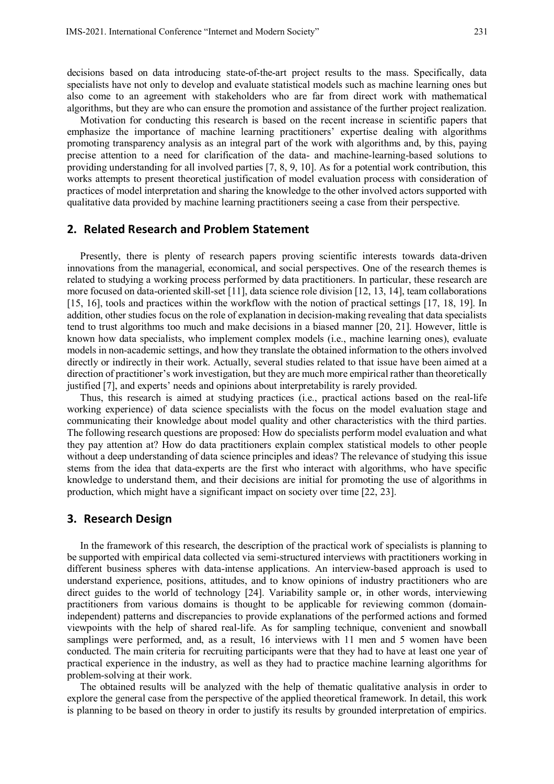decisions based on data introducing state-of-the-art project results to the mass. Specifically, data specialists have not only to develop and evaluate statistical models such as machine learning ones but also come to an agreement with stakeholders who are far from direct work with mathematical algorithms, but they are who can ensure the promotion and assistance of the further project realization.

Motivation for conducting this research is based on the recent increase in scientific papers that emphasize the importance of machine learning practitioners' expertise dealing with algorithms promoting transparency analysis as an integral part of the work with algorithms and, by this, paying precise attention to a need for clarification of the data- and machine-learning-based solutions to providing understanding for all involved parties [7, 8, 9, 10]. As for a potential work contribution, this works attempts to present theoretical justification of model evaluation process with consideration of practices of model interpretation and sharing the knowledge to the other involved actors supported with qualitative data provided by machine learning practitioners seeing a case from their perspective.

### **2. Related Research and Problem Statement**

Presently, there is plenty of research papers proving scientific interests towards data-driven innovations from the managerial, economical, and social perspectives. One of the research themes is related to studying a working process performed by data practitioners. In particular, these research are more focused on data-oriented skill-set [11], data science role division [12, 13, 14], team collaborations [15, 16], tools and practices within the workflow with the notion of practical settings [17, 18, 19]. In addition, other studies focus on the role of explanation in decision-making revealing that data specialists tend to trust algorithms too much and make decisions in a biased manner [20, 21]. However, little is known how data specialists, who implement complex models (i.e., machine learning ones), evaluate models in non-academic settings, and how they translate the obtained information to the others involved directly or indirectly in their work. Actually, several studies related to that issue have been aimed at a direction of practitioner's work investigation, but they are much more empirical rather than theoretically justified [7], and experts' needs and opinions about interpretability is rarely provided.

Thus, this research is aimed at studying practices (i.e., practical actions based on the real-life working experience) of data science specialists with the focus on the model evaluation stage and communicating their knowledge about model quality and other characteristics with the third parties. The following research questions are proposed: How do specialists perform model evaluation and what they pay attention at? How do data practitioners explain complex statistical models to other people without a deep understanding of data science principles and ideas? The relevance of studying this issue stems from the idea that data-experts are the first who interact with algorithms, who have specific knowledge to understand them, and their decisions are initial for promoting the use of algorithms in production, which might have a significant impact on society over time [22, 23].

## **3. Research Design**

In the framework of this research, the description of the practical work of specialists is planning to be supported with empirical data collected via semi-structured interviews with practitioners working in different business spheres with data-intense applications. An interview-based approach is used to understand experience, positions, attitudes, and to know opinions of industry practitioners who are direct guides to the world of technology [24]. Variability sample or, in other words, interviewing practitioners from various domains is thought to be applicable for reviewing common (domainindependent) patterns and discrepancies to provide explanations of the performed actions and formed viewpoints with the help of shared real-life. As for sampling technique, convenient and snowball samplings were performed, and, as a result, 16 interviews with 11 men and 5 women have been conducted. The main criteria for recruiting participants were that they had to have at least one year of practical experience in the industry, as well as they had to practice machine learning algorithms for problem-solving at their work.

The obtained results will be analyzed with the help of thematic qualitative analysis in order to explore the general case from the perspective of the applied theoretical framework. In detail, this work is planning to be based on theory in order to justify its results by grounded interpretation of empirics.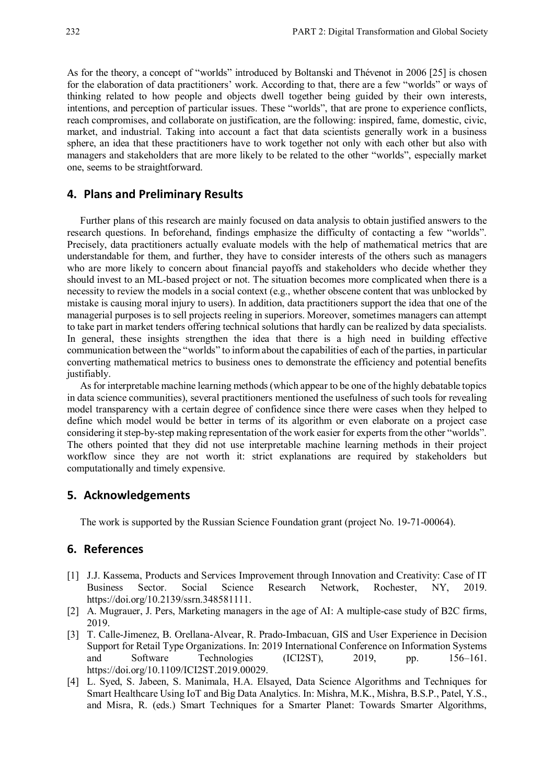As for the theory, a concept of "worlds" introduced by Boltanski and Thévenot in 2006 [25] is chosen for the elaboration of data practitioners' work. According to that, there are a few "worlds" or ways of thinking related to how people and objects dwell together being guided by their own interests, intentions, and perception of particular issues. These "worlds", that are prone to experience conflicts, reach compromises, and collaborate on justification, are the following: inspired, fame, domestic, civic, market, and industrial. Taking into account a fact that data scientists generally work in a business sphere, an idea that these practitioners have to work together not only with each other but also with managers and stakeholders that are more likely to be related to the other "worlds", especially market one, seems to be straightforward.

#### **4. Plans and Preliminary Results**

Further plans of this research are mainly focused on data analysis to obtain justified answers to the research questions. In beforehand, findings emphasize the difficulty of contacting a few "worlds". Precisely, data practitioners actually evaluate models with the help of mathematical metrics that are understandable for them, and further, they have to consider interests of the others such as managers who are more likely to concern about financial payoffs and stakeholders who decide whether they should invest to an ML-based project or not. The situation becomes more complicated when there is a necessity to review the models in a social context (e.g., whether obscene content that was unblocked by mistake is causing moral injury to users). In addition, data practitioners support the idea that one of the managerial purposes is to sell projects reeling in superiors. Moreover, sometimes managers can attempt to take part in market tenders offering technical solutions that hardly can be realized by data specialists. In general, these insights strengthen the idea that there is a high need in building effective communication between the "worlds" to inform about the capabilities of each of the parties, in particular converting mathematical metrics to business ones to demonstrate the efficiency and potential benefits justifiably.

As for interpretable machine learning methods (which appear to be one of the highly debatable topics in data science communities), several practitioners mentioned the usefulness of such tools for revealing model transparency with a certain degree of confidence since there were cases when they helped to define which model would be better in terms of its algorithm or even elaborate on a project case considering it step-by-step making representation of the work easier for experts from the other "worlds". The others pointed that they did not use interpretable machine learning methods in their project workflow since they are not worth it: strict explanations are required by stakeholders but computationally and timely expensive.

## **5. Acknowledgements**

The work is supported by the Russian Science Foundation grant (project No. 19-71-00064).

# **6. References**

- [1] J.J. Kassema, Products and Services Improvement through Innovation and Creativity: Case of IT Business Sector. Social Science Research Network, Rochester, NY, 2019. https://doi.org/10.2139/ssrn.348581111.
- [2] A. Mugrauer, J. Pers, Marketing managers in the age of AI: A multiple-case study of B2C firms, 2019.
- [3] T. Calle-Jimenez, B. Orellana-Alvear, R. Prado-Imbacuan, GIS and User Experience in Decision Support for Retail Type Organizations. In: 2019 International Conference on Information Systems and Software Technologies (ICI2ST), 2019, pp. 156–161. https://doi.org/10.1109/ICI2ST.2019.00029.
- [4] L. Syed, S. Jabeen, S. Manimala, H.A. Elsayed, Data Science Algorithms and Techniques for Smart Healthcare Using IoT and Big Data Analytics. In: Mishra, M.K., Mishra, B.S.P., Patel, Y.S., and Misra, R. (eds.) Smart Techniques for a Smarter Planet: Towards Smarter Algorithms,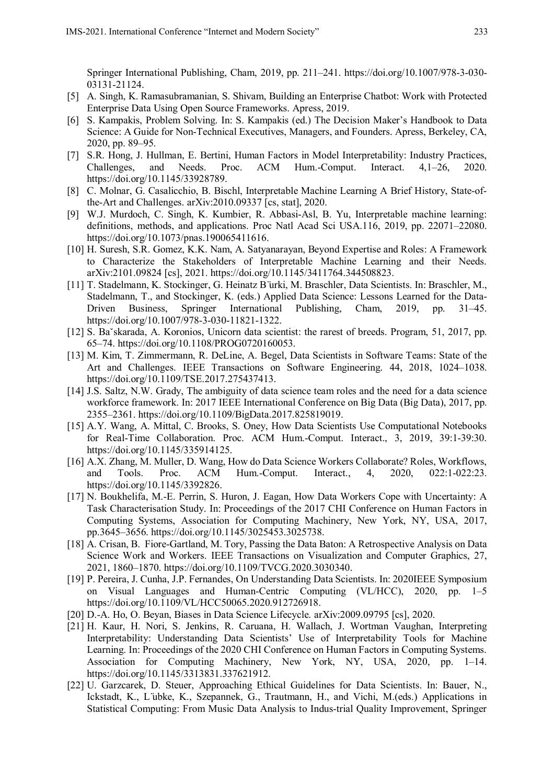Springer International Publishing, Cham, 2019, pp. 211–241. https://doi.org/10.1007/978-3-030- 03131-21124.

- [5] A. Singh, K. Ramasubramanian, S. Shivam, Building an Enterprise Chatbot: Work with Protected Enterprise Data Using Open Source Frameworks. Apress, 2019.
- [6] S. Kampakis, Problem Solving. In: S. Kampakis (ed.) The Decision Maker's Handbook to Data Science: A Guide for Non-Technical Executives, Managers, and Founders. Apress, Berkeley, CA, 2020, pp. 89–95.
- [7] S.R. Hong, J. Hullman, E. Bertini, Human Factors in Model Interpretability: Industry Practices, Challenges, and Needs. Proc. ACM Hum.-Comput. Interact. 4,1–26, 2020. https://doi.org/10.1145/33928789.
- [8] C. Molnar, G. Casalicchio, B. Bischl, Interpretable Machine Learning A Brief History, State-ofthe-Art and Challenges. arXiv:2010.09337 [cs, stat], 2020.
- [9] W.J. Murdoch, C. Singh, K. Kumbier, R. Abbasi-Asl, B. Yu, Interpretable machine learning: definitions, methods, and applications. Proc Natl Acad Sci USA.116, 2019, pp. 22071–22080. https://doi.org/10.1073/pnas.190065411616.
- [10] H. Suresh, S.R. Gomez, K.K. Nam, A. Satyanarayan, Beyond Expertise and Roles: A Framework to Characterize the Stakeholders of Interpretable Machine Learning and their Needs. arXiv:2101.09824 [cs], 2021. https://doi.org/10.1145/3411764.344508823.
- [11] T. Stadelmann, K. Stockinger, G. Heinatz B ̈urki, M. Braschler, Data Scientists. In: Braschler, M., Stadelmann, T., and Stockinger, K. (eds.) Applied Data Science: Lessons Learned for the Data-Driven Business, Springer International Publishing, Cham, 2019, pp. 31–45. https://doi.org/10.1007/978-3-030-11821-1322.
- [12] S. Baˇskarada, A. Koronios, Unicorn data scientist: the rarest of breeds. Program, 51, 2017, pp. 65–74. https://doi.org/10.1108/PROG0720160053.
- [13] M. Kim, T. Zimmermann, R. DeLine, A. Begel, Data Scientists in Software Teams: State of the Art and Challenges. IEEE Transactions on Software Engineering. 44, 2018, 1024–1038. https://doi.org/10.1109/TSE.2017.275437413.
- [14] J.S. Saltz, N.W. Grady, The ambiguity of data science team roles and the need for a data science workforce framework. In: 2017 IEEE International Conference on Big Data (Big Data), 2017, pp. 2355–2361. https://doi.org/10.1109/BigData.2017.825819019.
- [15] A.Y. Wang, A. Mittal, C. Brooks, S. Oney, How Data Scientists Use Computational Notebooks for Real-Time Collaboration. Proc. ACM Hum.-Comput. Interact., 3, 2019, 39:1-39:30. https://doi.org/10.1145/335914125.
- [16] A.X. Zhang, M. Muller, D. Wang, How do Data Science Workers Collaborate? Roles, Workflows, and Tools. Proc. ACM Hum.-Comput. Interact., 4, 2020, 022:1-022:23. https://doi.org/10.1145/3392826.
- [17] N. Boukhelifa, M.-E. Perrin, S. Huron, J. Eagan, How Data Workers Cope with Uncertainty: A Task Characterisation Study. In: Proceedings of the 2017 CHI Conference on Human Factors in Computing Systems, Association for Computing Machinery, New York, NY, USA, 2017, pp.3645–3656. https://doi.org/10.1145/3025453.3025738.
- [18] A. Crisan, B. Fiore-Gartland, M. Tory, Passing the Data Baton: A Retrospective Analysis on Data Science Work and Workers. IEEE Transactions on Visualization and Computer Graphics, 27, 2021, 1860–1870. https://doi.org/10.1109/TVCG.2020.3030340.
- [19] P. Pereira, J. Cunha, J.P. Fernandes, On Understanding Data Scientists. In: 2020IEEE Symposium on Visual Languages and Human-Centric Computing (VL/HCC), 2020, pp. 1–5 https://doi.org/10.1109/VL/HCC50065.2020.912726918.
- [20] D.-A. Ho, O. Beyan, Biases in Data Science Lifecycle. arXiv:2009.09795 [cs], 2020.
- [21] H. Kaur, H. Nori, S. Jenkins, R. Caruana, H. Wallach, J. Wortman Vaughan, Interpreting Interpretability: Understanding Data Scientists' Use of Interpretability Tools for Machine Learning. In: Proceedings of the 2020 CHI Conference on Human Factors in Computing Systems. Association for Computing Machinery, New York, NY, USA, 2020, pp. 1–14. https://doi.org/10.1145/3313831.337621912.
- [22] U. Garzcarek, D. Steuer, Approaching Ethical Guidelines for Data Scientists. In: Bauer, N., Ickstadt, K., L ̈ubke, K., Szepannek, G., Trautmann, H., and Vichi, M.(eds.) Applications in Statistical Computing: From Music Data Analysis to Indus-trial Quality Improvement, Springer